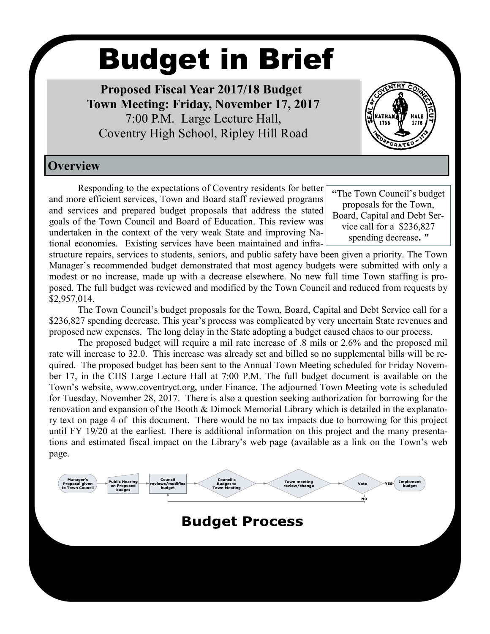# Budget in Brief

 **Proposed Fiscal Year 2017/18 Budget Town Meeting: Friday, November 17, 2017** 7:00 P.M. Large Lecture Hall, Coventry High School, Ripley Hill Road



## **Overview**

Responding to the expectations of Coventry residents for better and more efficient services, Town and Board staff reviewed programs and services and prepared budget proposals that address the stated goals of the Town Council and Board of Education. This review was undertaken in the context of the very weak State and improving National economies. Existing services have been maintained and infra-

**"**The Town Council's budget proposals for the Town, Board, Capital and Debt Service call for a \$236,827 spending decrease**.** *"*

structure repairs, services to students, seniors, and public safety have been given a priority. The Town Manager's recommended budget demonstrated that most agency budgets were submitted with only a modest or no increase, made up with a decrease elsewhere. No new full time Town staffing is proposed. The full budget was reviewed and modified by the Town Council and reduced from requests by \$2,957,014.

The Town Council's budget proposals for the Town, Board, Capital and Debt Service call for a \$236,827 spending decrease. This year's process was complicated by very uncertain State revenues and proposed new expenses. The long delay in the State adopting a budget caused chaos to our process.

The proposed budget will require a mil rate increase of .8 mils or 2.6% and the proposed mil rate will increase to 32.0. This increase was already set and billed so no supplemental bills will be required. The proposed budget has been sent to the Annual Town Meeting scheduled for Friday November 17, in the CHS Large Lecture Hall at 7:00 P.M. The full budget document is available on the Town's website, www.coventryct.org, under Finance. The adjourned Town Meeting vote is scheduled for Tuesday, November 28, 2017. There is also a question seeking authorization for borrowing for the renovation and expansion of the Booth & Dimock Memorial Library which is detailed in the explanatory text on page 4 of this document. There would be no tax impacts due to borrowing for this project until FY 19/20 at the earliest. There is additional information on this project and the many presentations and estimated fiscal impact on the Library's web page (available as a link on the Town's web page.

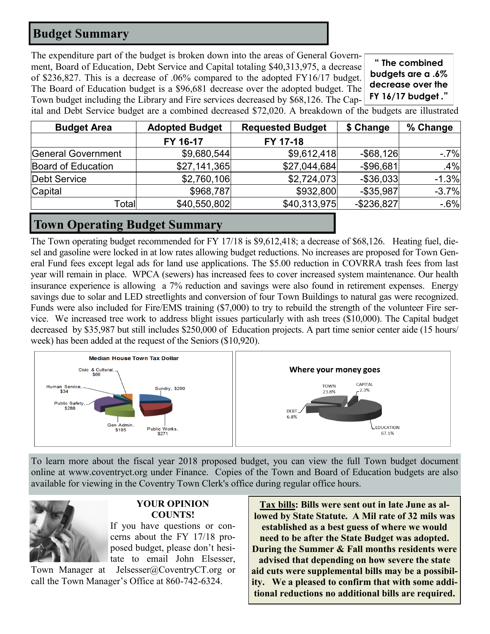## **Budget Summary**

The expenditure part of the budget is broken down into the areas of General Government, Board of Education, Debt Service and Capital totaling \$40,313,975, a decrease of \$236,827. This is a decrease of .06% compared to the adopted FY16/17 budget. The Board of Education budget is a \$96,681 decrease over the adopted budget. The Town budget including the Library and Fire services decreased by \$68,126. The Cap-

**" The combined budgets are a .6% decrease over the FY 16/17 budget ."**

ital and Debt Service budget are a combined decreased \$72,020. A breakdown of the budgets are illustrated

| <b>Budget Area</b>  | <b>Adopted Budget</b> | <b>Requested Budget</b> | \$ Change     | % Change |
|---------------------|-----------------------|-------------------------|---------------|----------|
|                     | FY 16-17              | FY 17-18                |               |          |
| General Government  | \$9,680,544           | \$9,612,418             | $-$ \$68,126  | $-7%$    |
| Board of Education  | \$27,141,365          | \$27,044,684            | $-$ \$96,681  | .4%      |
| <b>Debt Service</b> | \$2,760,106           | \$2,724,073             | $-$ \$36,033  | $-1.3%$  |
| Capital             | \$968,787             | \$932,800               | $-$ \$35,987  | $-3.7%$  |
| Total               | \$40,550,802          | \$40,313,975            | $-$ \$236,827 | $-6%$    |

## **Town Operating Budget Summary**

The Town operating budget recommended for FY 17/18 is \$9,612,418; a decrease of \$68,126. Heating fuel, diesel and gasoline were locked in at low rates allowing budget reductions. No increases are proposed for Town General Fund fees except legal ads for land use applications. The \$5.00 reduction in COVRRA trash fees from last year will remain in place. WPCA (sewers) has increased fees to cover increased system maintenance. Our health insurance experience is allowing a 7% reduction and savings were also found in retirement expenses. Energy savings due to solar and LED streetlights and conversion of four Town Buildings to natural gas were recognized. Funds were also included for Fire/EMS training (\$7,000) to try to rebuild the strength of the volunteer Fire service. We increased tree work to address blight issues particularly with ash trees (\$10,000). The Capital budget decreased by \$35,987 but still includes \$250,000 of Education projects. A part time senior center aide (15 hours/ week) has been added at the request of the Seniors (\$10,920).



To learn more about the fiscal year 2018 proposed budget, you can view the full Town budget document online at www.coventryct.org under Finance. Copies of the Town and Board of Education budgets are also available for viewing in the Coventry Town Clerk's office during regular office hours.



#### **YOUR OPINION COUNTS!**

If you have questions or concerns about the FY 17/18 proposed budget, please don't hesitate to email John Elsesser,

Town Manager at Jelsesser@CoventryCT.org or call the Town Manager's Office at 860-742-6324.

**Tax bills: Bills were sent out in late June as allowed by State Statute. A Mil rate of 32 mils was established as a best guess of where we would need to be after the State Budget was adopted. During the Summer & Fall months residents were advised that depending on how severe the state aid cuts were supplemental bills may be a possibility. We a pleased to confirm that with some additional reductions no additional bills are required.**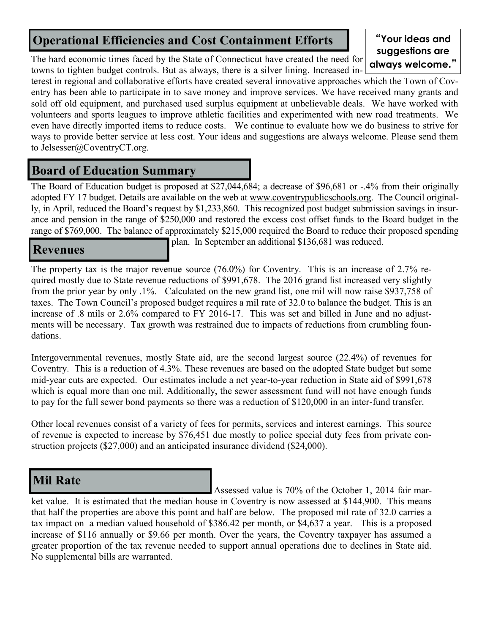# **Operational Efficiencies and Cost Containment Efforts**

The hard economic times faced by the State of Connecticut have created the need for towns to tighten budget controls. But as always, there is a silver lining. Increased in-

#### **"Your ideas and suggestions are always welcome."**

terest in regional and collaborative efforts have created several innovative approaches which the Town of Coventry has been able to participate in to save money and improve services. We have received many grants and sold off old equipment, and purchased used surplus equipment at unbelievable deals. We have worked with volunteers and sports leagues to improve athletic facilities and experimented with new road treatments. We even have directly imported items to reduce costs. We continue to evaluate how we do business to strive for ways to provide better service at less cost. Your ideas and suggestions are always welcome. Please send them to Jelsesser@CoventryCT.org.

## **Board of Education Summary**

The Board of Education budget is proposed at \$27,044,684; a decrease of \$96,681 or -.4% from their originally adopted FY 17 budget. Details are available on the web at [www.coventrypublicschools.org.](http://www.coventrypublicschools.org/) The Council originally, in April, reduced the Board's request by \$1,233,860. This recognized post budget submission savings in insurance and pension in the range of \$250,000 and restored the excess cost offset funds to the Board budget in the range of \$769,000. The balance of approximately \$215,000 required the Board to reduce their proposed spending

## **Revenues**

plan. In September an additional \$136,681 was reduced.

The property tax is the major revenue source (76.0%) for Coventry. This is an increase of 2.7% required mostly due to State revenue reductions of \$991,678. The 2016 grand list increased very slightly from the prior year by only .1%. Calculated on the new grand list, one mil will now raise \$937,758 of taxes. The Town Council's proposed budget requires a mil rate of 32.0 to balance the budget. This is an increase of .8 mils or 2.6% compared to FY 2016-17. This was set and billed in June and no adjustments will be necessary. Tax growth was restrained due to impacts of reductions from crumbling foundations.

Intergovernmental revenues, mostly State aid, are the second largest source (22.4%) of revenues for Coventry. This is a reduction of 4.3%. These revenues are based on the adopted State budget but some mid-year cuts are expected. Our estimates include a net year-to-year reduction in State aid of \$991,678 which is equal more than one mil. Additionally, the sewer assessment fund will not have enough funds to pay for the full sewer bond payments so there was a reduction of \$120,000 in an inter-fund transfer.

Other local revenues consist of a variety of fees for permits, services and interest earnings. This source of revenue is expected to increase by \$76,451 due mostly to police special duty fees from private construction projects (\$27,000) and an anticipated insurance dividend (\$24,000).

# **Mil Rate**

Assessed value is 70% of the October 1, 2014 fair market value. It is estimated that the median house in Coventry is now assessed at \$144,900. This means that half the properties are above this point and half are below. The proposed mil rate of 32.0 carries a tax impact on a median valued household of \$386.42 per month, or \$4,637 a year. This is a proposed increase of \$116 annually or \$9.66 per month. Over the years, the Coventry taxpayer has assumed a greater proportion of the tax revenue needed to support annual operations due to declines in State aid. No supplemental bills are warranted.